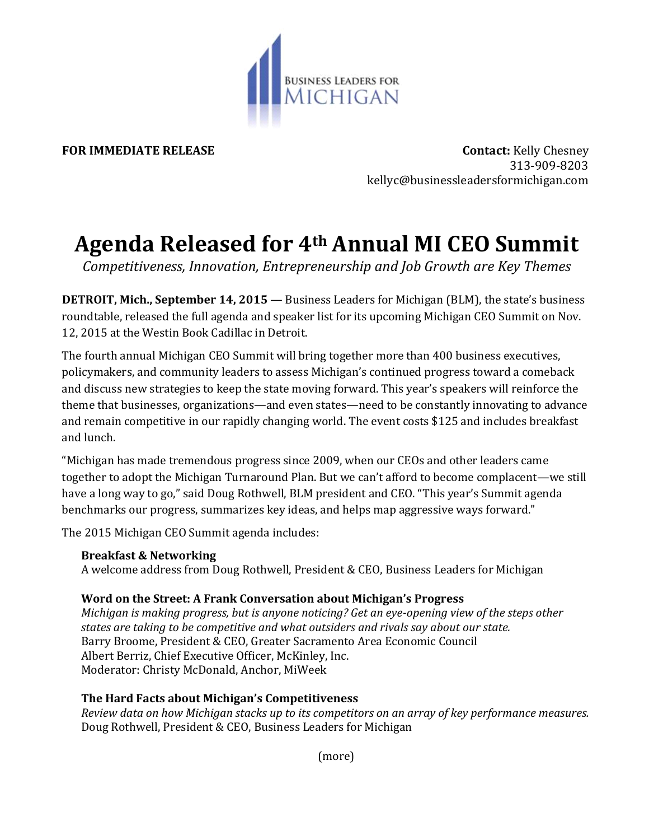

**FOR IMMEDIATE RELEASE CONTACT SEE ASSESSED ASSESSED ASSESSED FOR IMMEDIATE RELEASE**  313-909-8203 kellyc@businessleadersformichigan.com

# **Agenda Released for 4th Annual MI CEO Summit**

*Competitiveness, Innovation, Entrepreneurship and Job Growth are Key Themes*

**DETROIT, Mich., September 14, 2015** — Business Leaders for Michigan (BLM), the state's business roundtable, released the full agenda and speaker list for its upcoming Michigan CEO Summit on Nov. 12, 2015 at the Westin Book Cadillac in Detroit.

The fourth annual Michigan CEO Summit will bring together more than 400 business executives, policymakers, and community leaders to assess Michigan's continued progress toward a comeback and discuss new strategies to keep the state moving forward. This year's speakers will reinforce the theme that businesses, organizations—and even states—need to be constantly innovating to advance and remain competitive in our rapidly changing world. The event costs \$125 and includes breakfast and lunch.

"Michigan has made tremendous progress since 2009, when our CEOs and other leaders came together to adopt the Michigan Turnaround Plan. But we can't afford to become complacent—we still have a long way to go," said Doug Rothwell, BLM president and CEO. "This year's Summit agenda benchmarks our progress, summarizes key ideas, and helps map aggressive ways forward."

The 2015 Michigan CEO Summit agenda includes:

## **Breakfast & Networking**

A welcome address from Doug Rothwell, President & CEO, Business Leaders for Michigan

# **Word on the Street: A Frank Conversation about Michigan's Progress**

*Michigan is making progress, but is anyone noticing? Get an eye-opening view of the steps other states are taking to be competitive and what outsiders and rivals say about our state.* Barry Broome, President & CEO, Greater Sacramento Area Economic Council Albert Berriz, Chief Executive Officer, McKinley, Inc. Moderator: Christy McDonald, Anchor, MiWeek

# **The Hard Facts about Michigan's Competitiveness**

*Review data on how Michigan stacks up to its competitors on an array of key performance measures.* Doug Rothwell, President & CEO, Business Leaders for Michigan

(more)